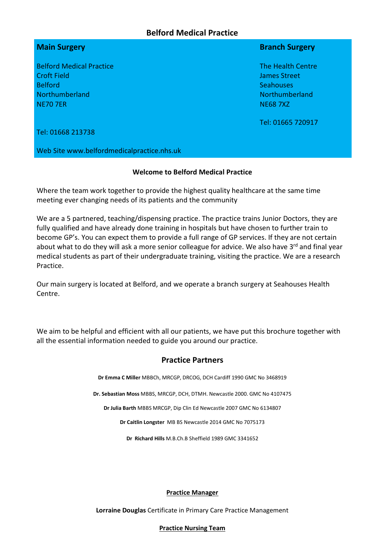# **Belford Medical Practice**

# **Main Surgery**

Belford Medical Practice Croft Field Belford Northumberland NE70 7ER

# **Branch Surgery**

The Health Centre James Street **Seahouses** Northumberland NE68 7XZ

Tel: 01665 720917

Tel: 01668 213738

Web Site www.belfordmedicalpractice.nhs.uk

## **Welcome to Belford Medical Practice**

Where the team work together to provide the highest quality healthcare at the same time meeting ever changing needs of its patients and the community

We are a 5 partnered, teaching/dispensing practice. The practice trains Junior Doctors, they are fully qualified and have already done training in hospitals but have chosen to further train to become GP's. You can expect them to provide a full range of GP services. If they are not certain about what to do they will ask a more senior colleague for advice. We also have 3<sup>rd</sup> and final year medical students as part of their undergraduate training, visiting the practice. We are a research Practice.

Our main surgery is located at Belford, and we operate a branch surgery at Seahouses Health Centre.

We aim to be helpful and efficient with all our patients, we have put this brochure together with all the essential information needed to guide you around our practice.

# **Practice Partners**

**Dr Emma C Miller** MBBCh, MRCGP, DRCOG, DCH Cardiff 1990 GMC No 3468919

**Dr. Sebastian Moss** MBBS, MRCGP, DCH, DTMH. Newcastle 2000. GMC No 4107475

**Dr Julia Barth** MBBS MRCGP, Dip Clin Ed Newcastle 2007 GMC No 6134807

**Dr Caitlin Longster** MB BS Newcastle 2014 GMC No 7075173

**Dr Richard Hills** M.B.Ch.B Sheffield 1989 GMC 3341652

**Practice Manager** 

**Lorraine Douglas** Certificate in Primary Care Practice Management

#### **Practice Nursing Team**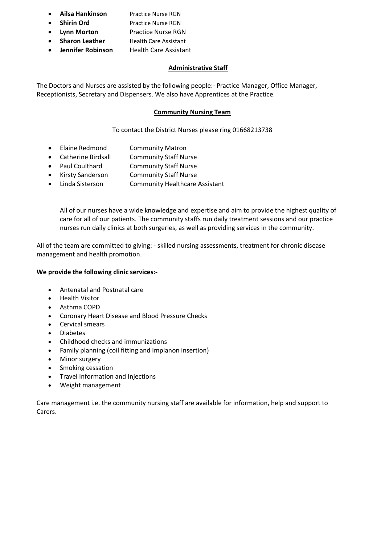- **Ailsa Hankinson** Practice Nurse RGN
- - **Shirin Ord** Practice Nurse RGN
- **Lynn Morton** Practice Nurse RGN **• Sharon Leather** Health Care Assistant
- 
- **Jennifer Robinson** Health Care Assistant

# **Administrative Staff**

The Doctors and Nurses are assisted by the following people:- Practice Manager, Office Manager, Receptionists, Secretary and Dispensers. We also have Apprentices at the Practice.

# **Community Nursing Team**

To contact the District Nurses please ring 01668213738

- Elaine Redmond Community Matron
- Catherine Birdsall Community Staff Nurse
- Paul Coulthard Community Staff Nurse
- Kirsty Sanderson Community Staff Nurse
- Linda Sisterson Community Healthcare Assistant

All of our nurses have a wide knowledge and expertise and aim to provide the highest quality of care for all of our patients. The community staffs run daily treatment sessions and our practice nurses run daily clinics at both surgeries, as well as providing services in the community.

All of the team are committed to giving: - skilled nursing assessments, treatment for chronic disease management and health promotion.

# **We provide the following clinic services:-**

- Antenatal and Postnatal care
- Health Visitor
- Asthma COPD
- Coronary Heart Disease and Blood Pressure Checks
- Cervical smears
- Diabetes
- Childhood checks and immunizations
- Family planning (coil fitting and Implanon insertion)
- Minor surgery
- Smoking cessation
- Travel Information and Injections
- Weight management

Care management i.e. the community nursing staff are available for information, help and support to Carers.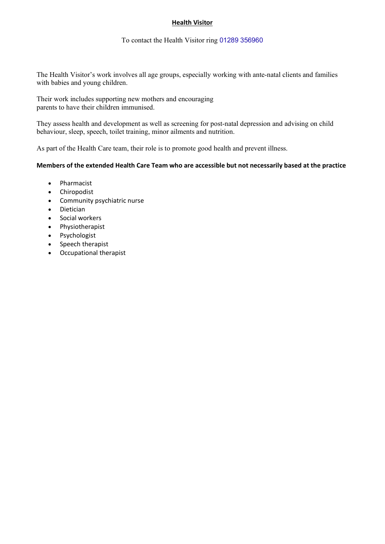## **Health Visitor**

#### To contact the Health Visitor ring [01289 356960](https://www.google.com/search?q=tweedmouth+clinic&rlz=1C1GCEA_enGB875GB875&oq=tweedmouth+clinic&aqs=chrome.0.69i59j0i512l2j46i175i199i512j0i512j0i22i30.5232j0j7&sourceid=chrome&ie=UTF-8)

The Health Visitor's work involves all age groups, especially working with ante-natal clients and families with babies and young children.

Their work includes supporting new mothers and encouraging parents to have their children immunised.

They assess health and development as well as screening for post-natal depression and advising on child behaviour, sleep, speech, toilet training, minor ailments and nutrition.

As part of the Health Care team, their role is to promote good health and prevent illness.

## **Members of the extended Health Care Team who are accessible but not necessarily based at the practice**

- Pharmacist
- Chiropodist
- Community psychiatric nurse
- Dietician
- Social workers
- Physiotherapist
- Psychologist
- Speech therapist
- Occupational therapist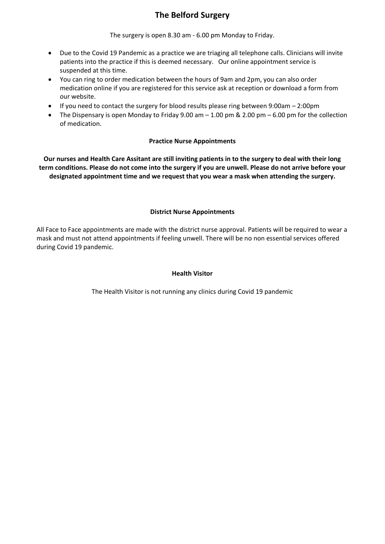# **The Belford Surgery**

The surgery is open 8.30 am - 6.00 pm Monday to Friday.

- Due to the Covid 19 Pandemic as a practice we are triaging all telephone calls. Clinicians will invite patients into the practice if this is deemed necessary. Our online appointment service is suspended at this time.
- You can ring to order medication between the hours of 9am and 2pm, you can also order medication online if you are registered for this service ask at reception or download a form from our website.
- If you need to contact the surgery for blood results please ring between 9:00am 2:00pm
- The Dispensary is open Monday to Friday  $9.00 \text{ am} 1.00 \text{ pm}$  & 2.00 pm  $-6.00 \text{ pm}$  for the collection of medication.

## **Practice Nurse Appointments**

**Our nurses and Health Care Assitant are still inviting patients in to the surgery to deal with their long term conditions. Please do not come into the surgery if you are unwell. Please do not arrive before your designated appointment time and we request that you wear a mask when attending the surgery.**

## **District Nurse Appointments**

All Face to Face appointments are made with the district nurse approval. Patients will be required to wear a mask and must not attend appointments if feeling unwell. There will be no non essential services offered during Covid 19 pandemic.

### **Health Visitor**

The Health Visitor is not running any clinics during Covid 19 pandemic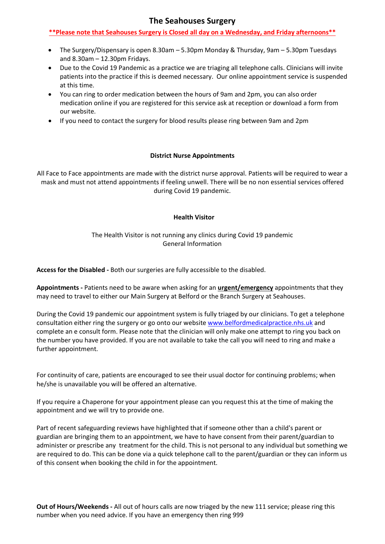# **The Seahouses Surgery**

**\*\*Please note that Seahouses Surgery is Closed all day on a Wednesday, and Friday afternoons\*\***

- The Surgery/Dispensary is open 8.30am 5.30pm Monday & Thursday, 9am 5.30pm Tuesdays and 8.30am – 12.30pm Fridays.
- Due to the Covid 19 Pandemic as a practice we are triaging all telephone calls. Clinicians will invite patients into the practice if this is deemed necessary. Our online appointment service is suspended at this time.
- You can ring to order medication between the hours of 9am and 2pm, you can also order medication online if you are registered for this service ask at reception or download a form from our website.
- If you need to contact the surgery for blood results please ring between 9am and 2pm

## **District Nurse Appointments**

All Face to Face appointments are made with the district nurse approval. Patients will be required to wear a mask and must not attend appointments if feeling unwell. There will be no non essential services offered during Covid 19 pandemic.

## **Health Visitor**

The Health Visitor is not running any clinics during Covid 19 pandemic General Information

**Access for the Disabled -** Both our surgeries are fully accessible to the disabled.

**Appointments -** Patients need to be aware when asking for an **urgent/emergency** appointments that they may need to travel to either our Main Surgery at Belford or the Branch Surgery at Seahouses.

During the Covid 19 pandemic our appointment system is fully triaged by our clinicians. To get a telephone consultation either ring the surgery or go onto our websit[e www.belfordmedicalpractice.nhs.uk](http://www.belfordmedicalpractice.nhs.uk/) and complete an e consult form. Please note that the clinician will only make one attempt to ring you back on the number you have provided. If you are not available to take the call you will need to ring and make a further appointment.

For continuity of care, patients are encouraged to see their usual doctor for continuing problems; when he/she is unavailable you will be offered an alternative.

If you require a Chaperone for your appointment please can you request this at the time of making the appointment and we will try to provide one.

Part of recent safeguarding reviews have highlighted that if someone other than a child's parent or guardian are bringing them to an appointment, we have to have consent from their parent/guardian to administer or prescribe any treatment for the child. This is not personal to any individual but something we are required to do. This can be done via a quick telephone call to the parent/guardian or they can inform us of this consent when booking the child in for the appointment.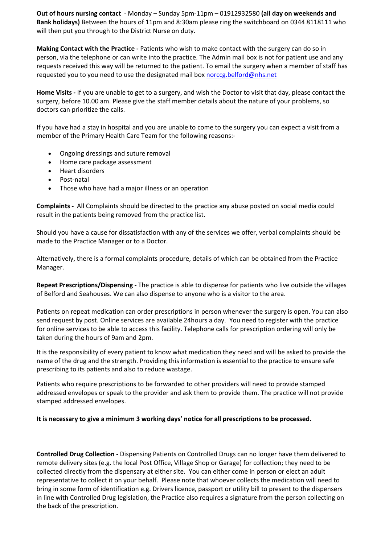**Out of hours nursing contact** - Monday – Sunday 5pm-11pm – 01912932580 **(all day on weekends and Bank holidays)** Between the hours of 11pm and 8:30am please ring the switchboard on 0344 8118111 who will then put you through to the District Nurse on duty.

**Making Contact with the Practice -** Patients who wish to make contact with the surgery can do so in person, via the telephone or can write into the practice. The Admin mail box is not for patient use and any requests received this way will be returned to the patient. To email the surgery when a member of staff has requested you to you need to use the designated mail box [norccg.belford@nhs.net](mailto:norccg.belford@nhs.net)

**Home Visits -** If you are unable to get to a surgery, and wish the Doctor to visit that day, please contact the surgery, before 10.00 am. Please give the staff member details about the nature of your problems, so doctors can prioritize the calls.

If you have had a stay in hospital and you are unable to come to the surgery you can expect a visit from a member of the Primary Health Care Team for the following reasons:-

- Ongoing dressings and suture removal
- Home care package assessment
- Heart disorders
- Post-natal
- Those who have had a major illness or an operation

**Complaints -** All Complaints should be directed to the practice any abuse posted on social media could result in the patients being removed from the practice list.

Should you have a cause for dissatisfaction with any of the services we offer, verbal complaints should be made to the Practice Manager or to a Doctor.

Alternatively, there is a formal complaints procedure, details of which can be obtained from the Practice Manager.

**Repeat Prescriptions/Dispensing -** The practice is able to dispense for patients who live outside the villages of Belford and Seahouses. We can also dispense to anyone who is a visitor to the area.

Patients on repeat medication can order prescriptions in person whenever the surgery is open. You can also send request by post. Online services are available 24hours a day. You need to register with the practice for [online services](http://www.belfordmedicalpractice.nhs.uk/online.html) to be able to access this facility. Telephone calls for prescription ordering will only be taken during the hours of 9am and 2pm.

It is the responsibility of every patient to know what medication they need and will be asked to provide the name of the drug and the strength. Providing this information is essential to the practice to ensure safe prescribing to its patients and also to reduce wastage.

Patients who require prescriptions to be forwarded to other providers will need to provide stamped addressed envelopes or speak to the provider and ask them to provide them. The practice will not provide stamped addressed envelopes.

#### **It is necessary to give a minimum 3 working days' notice for all prescriptions to be processed.**

**Controlled Drug Collection -** Dispensing Patients on Controlled Drugs can no longer have them delivered to remote delivery sites (e.g. the local Post Office, Village Shop or Garage) for collection; they need to be collected directly from the dispensary at either site. You can either come in person or elect an adult representative to collect it on your behalf. Please note that whoever collects the medication will need to bring in some form of identification e.g. Drivers licence, passport or utility bill to present to the dispensers in line with Controlled Drug legislation, the Practice also requires a signature from the person collecting on the back of the prescription.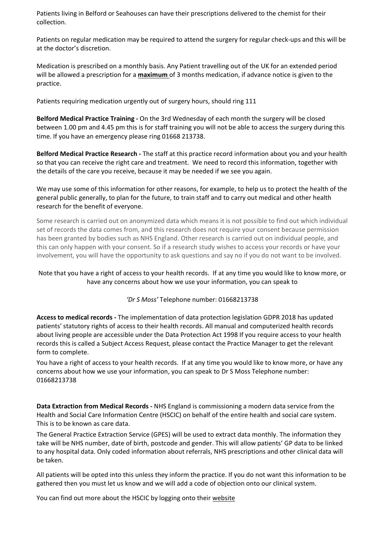Patients living in Belford or Seahouses can have their prescriptions delivered to the chemist for their collection.

Patients on regular medication may be required to attend the surgery for regular check-ups and this will be at the doctor's discretion.

Medication is prescribed on a monthly basis. Any Patient travelling out of the UK for an extended period will be allowed a prescription for a **maximum** of 3 months medication, if advance notice is given to the practice.

Patients requiring medication urgently out of surgery hours, should ring 111

**Belford Medical Practice Training -** On the 3rd Wednesday of each month the surgery will be closed between 1.00 pm and 4.45 pm this is for staff training you will not be able to access the surgery during this time. If you have an emergency please ring 01668 213738.

**Belford Medical Practice Research -** The staff at this practice record information about you and your health so that you can receive the right care and treatment. We need to record this information, together with the details of the care you receive, because it may be needed if we see you again.

We may use some of this information for other reasons, for example, to help us to protect the health of the general public generally, to plan for the future, to train staff and to carry out medical and other health research for the benefit of everyone.

Some research is carried out on anonymized data which means it is not possible to find out which individual set of records the data comes from, and this research does not require your consent because permission has been granted by bodies such as NHS England. Other research is carried out on individual people, and this can only happen with your consent. So if a research study wishes to access your records or have your involvement, you will have the opportunity to ask questions and say no if you do not want to be involved.

## Note that you have a right of access to your health records. If at any time you would like to know more, or have any concerns about how we use your information, you can speak to

## *'Dr S Moss'* Telephone number: 01668213738

**Access to medical records -** The implementation of data protection legislation GDPR 2018 has updated patients' statutory rights of access to their health records. All manual and computerized health records about living people are accessible under the Data Protection Act 1998 If you require access to your health records this is called a Subject Access Request, please contact the Practice Manager to get the relevant form to complete.

You have a right of access to your health records. If at any time you would like to know more, or have any concerns about how we use your information, you can speak to Dr S Moss Telephone number: 01668213738

**Data Extraction from Medical Records -** NHS England is commissioning a modern data service from the Health and Social Care Information Centre (HSCIC) on behalf of the entire health and social care system. This is to be known as care data.

The General Practice Extraction Service (GPES) will be used to extract data monthly. The information they take will be NHS number, date of birth, postcode and gender. This will allow patients' GP data to be linked to any hospital data. Only coded information about referrals, NHS prescriptions and other clinical data will be taken.

All patients will be opted into this unless they inform the practice. If you do not want this information to be gathered then you must let us know and we will add a code of objection onto our clinical system.

You can find out more about the HSCIC by logging onto their [website](http://www.england.nhs.uk/ourwork/tsd/care-data/)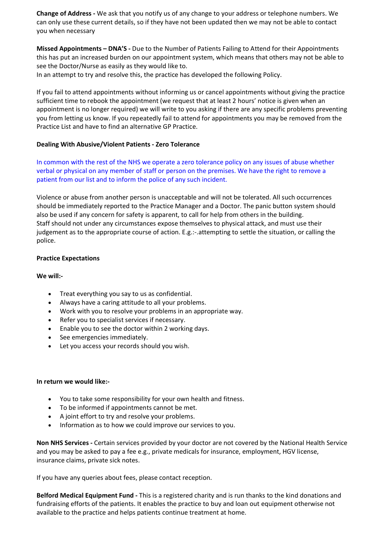**Change of Address -** We ask that you notify us of any change to your address or telephone numbers. We can only use these current details, so if they have not been updated then we may not be able to contact you when necessary

**Missed Appointments – DNA'S -** Due to the Number of Patients Failing to Attend for their Appointments this has put an increased burden on our appointment system, which means that others may not be able to see the Doctor/Nurse as easily as they would like to.

In an attempt to try and resolve this, the practice has developed the following Policy.

If you fail to attend appointments without informing us or cancel appointments without giving the practice sufficient time to rebook the appointment (we request that at least 2 hours' notice is given when an appointment is no longer required) we will write to you asking if there are any specific problems preventing you from letting us know. If you repeatedly fail to attend for appointments you may be removed from the Practice List and have to find an alternative GP Practice.

## **Dealing With Abusive/Violent Patients - Zero Tolerance**

In common with the rest of the NHS we operate a zero tolerance policy on any issues of abuse whether verbal or physical on any member of staff or person on the premises. We have the right to remove a patient from our list and to inform the police of any such incident.

Violence or abuse from another person is unacceptable and will not be tolerated. All such occurrences should be immediately reported to the Practice Manager and a Doctor. The panic button system should also be used if any concern for safety is apparent, to call for help from others in the building. Staff should not under any circumstances expose themselves to physical attack, and must use their judgement as to the appropriate course of action. E.g.:-.attempting to settle the situation, or calling the police.

#### **Practice Expectations**

#### **We will:-**

- Treat everything you say to us as confidential.
- Always have a caring attitude to all your problems.
- Work with you to resolve your problems in an appropriate way.
- Refer you to specialist services if necessary.
- Enable you to see the doctor within 2 working days.
- See emergencies immediately.
- Let you access your records should you wish.

#### **In return we would like:-**

- You to take some responsibility for your own health and fitness.
- To be informed if appointments cannot be met.
- A joint effort to try and resolve your problems.
- Information as to how we could improve our services to you.

**Non NHS Services -** Certain services provided by your doctor are not covered by the National Health Service and you may be asked to pay a fee e.g., private medicals for insurance, employment, HGV license, insurance claims, private sick notes.

If you have any queries about fees, please contact reception.

**Belford Medical Equipment Fund -** This is a registered charity and is run thanks to the kind donations and fundraising efforts of the patients. It enables the practice to buy and loan out equipment otherwise not available to the practice and helps patients continue treatment at home.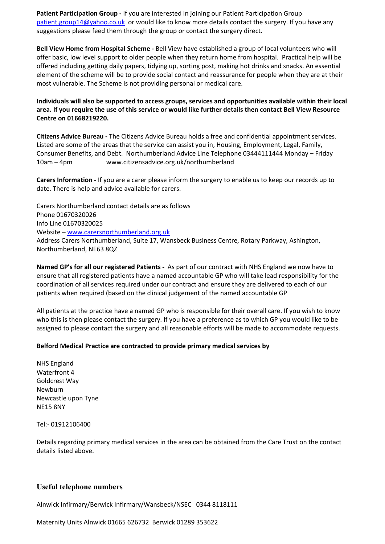**Patient Participation Group -** If you are interested in joining our Patient Participation Group [patient.group14@yahoo.co.uk](mailto:patient.group14@yahoo.co.uk) or would like to know more details contact the surgery. If you have any suggestions please feed them through the group or contact the surgery direct.

**Bell View Home from Hospital Scheme -** Bell View have established a group of local volunteers who will offer basic, low level support to older people when they return home from hospital. Practical help will be offered including getting daily papers, tidying up, sorting post, making hot drinks and snacks. An essential element of the scheme will be to provide social contact and reassurance for people when they are at their most vulnerable. The Scheme is not providing personal or medical care.

**Individuals will also be supported to access groups, services and opportunities available within their local area. If you require the use of this service or would like further details then contact Bell View Resource Centre on 01668219220.** 

**Citizens Advice Bureau -** The Citizens Advice Bureau holds a free and confidential appointment services. Listed are some of the areas that the service can assist you in, Housing, Employment, Legal, Family, Consumer Benefits, and Debt. Northumberland Advice Line Telephone 03444111444 Monday – Friday 10am – 4pm www.citizensadvice.org.uk/northumberland

**Carers Information -** If you are a carer please inform the surgery to enable us to keep our records up to date. There is help and advice available for carers.

Carers Northumberland contact details are as follows Phone 01670320026 Info Line 01670320025 Website – [www.carersnorthumberland.org.uk](http://www.carersnorthumberland.org.uk/) Address Carers Northumberland, Suite 17, Wansbeck Business Centre, Rotary Parkway, Ashington, Northumberland, NE63 8QZ

**Named GP's for all our registered Patients -** As part of our contract with NHS England we now have to ensure that all registered patients have a named accountable GP who will take lead responsibility for the coordination of all services required under our contract and ensure they are delivered to each of our patients when required (based on the clinical judgement of the named accountable GP

All patients at the practice have a named GP who is responsible for their overall care. If you wish to know who this is then please contact the surgery. If you have a preference as to which GP you would like to be assigned to please contact the surgery and all reasonable efforts will be made to accommodate requests.

#### **Belford Medical Practice are contracted to provide primary medical services by**

NHS England Waterfront 4 Goldcrest Way Newburn Newcastle upon Tyne NE15 8NY

Tel:- 01912106400

Details regarding primary medical services in the area can be obtained from the Care Trust on the contact details listed above.

## **Useful telephone numbers**

Alnwick Infirmary/Berwick Infirmary/Wansbeck/NSEC 0344 8118111

Maternity Units Alnwick 01665 626732 Berwick 01289 353622